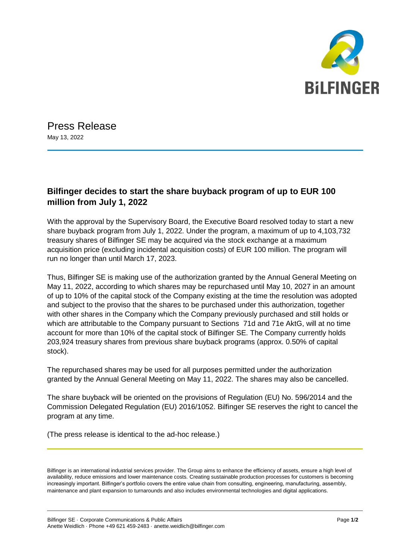

Press Release May 13, 2022

## **Bilfinger decides to start the share buyback program of up to EUR 100 million from July 1, 2022**

With the approval by the Supervisory Board, the Executive Board resolved today to start a new share buyback program from July 1, 2022. Under the program, a maximum of up to 4,103,732 treasury shares of Bilfinger SE may be acquired via the stock exchange at a maximum acquisition price (excluding incidental acquisition costs) of EUR 100 million. The program will run no longer than until March 17, 2023.

Thus, Bilfinger SE is making use of the authorization granted by the Annual General Meeting on May 11, 2022, according to which shares may be repurchased until May 10, 2027 in an amount of up to 10% of the capital stock of the Company existing at the time the resolution was adopted and subject to the proviso that the shares to be purchased under this authorization, together with other shares in the Company which the Company previously purchased and still holds or which are attributable to the Company pursuant to Sections 71d and 71e AktG, will at no time account for more than 10% of the capital stock of Bilfinger SE. The Company currently holds 203,924 treasury shares from previous share buyback programs (approx. 0.50% of capital stock).

The repurchased shares may be used for all purposes permitted under the authorization granted by the Annual General Meeting on May 11, 2022. The shares may also be cancelled.

The share buyback will be oriented on the provisions of Regulation (EU) No. 596/2014 and the Commission Delegated Regulation (EU) 2016/1052. Bilfinger SE reserves the right to cancel the program at any time.

(The press release is identical to the ad-hoc release.)

Bilfinger is an international industrial services provider. The Group aims to enhance the efficiency of assets, ensure a high level of availability, reduce emissions and lower maintenance costs. Creating sustainable production processes for customers is becoming increasingly important. Bilfinger's portfolio covers the entire value chain from consulting, engineering, manufacturing, assembly, maintenance and plant expansion to turnarounds and also includes environmental technologies and digital applications.